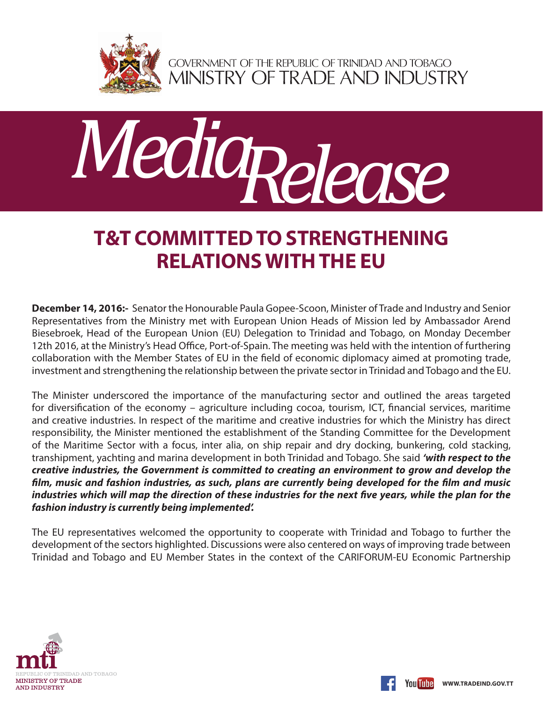

GOVERNMENT OF THE REPUBLIC OF TRINIDAD AND TOBAGO<br>MINISTRY OF TRADE AND INDUSTRY



## **T&T COMMITTED TO STRENGTHENING RELATIONS WITH THE EU**

**December 14, 2016:-** Senator the Honourable Paula Gopee-Scoon, Minister of Trade and Industry and Senior Representatives from the Ministry met with European Union Heads of Mission led by Ambassador Arend Biesebroek, Head of the European Union (EU) Delegation to Trinidad and Tobago, on Monday December 12th 2016, at the Ministry's Head Office, Port-of-Spain. The meeting was held with the intention of furthering collaboration with the Member States of EU in the field of economic diplomacy aimed at promoting trade, investment and strengthening the relationship between the private sector in Trinidad and Tobago and the EU.

The Minister underscored the importance of the manufacturing sector and outlined the areas targeted for diversification of the economy – agriculture including cocoa, tourism, ICT, financial services, maritime and creative industries. In respect of the maritime and creative industries for which the Ministry has direct responsibility, the Minister mentioned the establishment of the Standing Committee for the Development of the Maritime Sector with a focus, inter alia, on ship repair and dry docking, bunkering, cold stacking, transhipment, yachting and marina development in both Trinidad and Tobago. She said *'with respect to the creative industries, the Government is committed to creating an environment to grow and develop the film, music and fashion industries, as such, plans are currently being developed for the film and music industries which will map the direction of these industries for the next five years, while the plan for the fashion industry is currently being implemented'.* 

The EU representatives welcomed the opportunity to cooperate with Trinidad and Tobago to further the development of the sectors highlighted. Discussions were also centered on ways of improving trade between Trinidad and Tobago and EU Member States in the context of the CARIFORUM-EU Economic Partnership